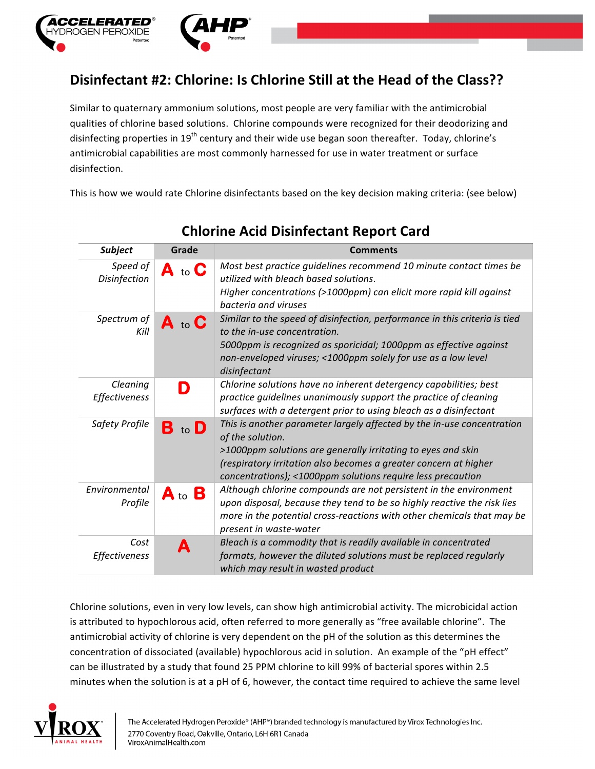

## **Disinfectant #2: Chlorine: Is Chlorine Still at the Head of the Class??**

Similar to quaternary ammonium solutions, most people are very familiar with the antimicrobial qualities of chlorine based solutions. Chlorine compounds were recognized for their deodorizing and disinfecting properties in 19<sup>th</sup> century and their wide use began soon thereafter. Today, chlorine's antimicrobial capabilities are most commonly harnessed for use in water treatment or surface disinfection.

This is how we would rate Chlorine disinfectants based on the key decision making criteria: (see below)

| <b>Subject</b>           | Grade              | Comments                                                                                                                                                                           |
|--------------------------|--------------------|------------------------------------------------------------------------------------------------------------------------------------------------------------------------------------|
| Speed of<br>Disinfection | $A$ to $C$         | Most best practice guidelines recommend 10 minute contact times be<br>utilized with bleach based solutions.<br>Higher concentrations (>1000ppm) can elicit more rapid kill against |
|                          |                    | bacteria and viruses                                                                                                                                                               |
| Spectrum of<br>Kill      | $A$ to $C$         | Similar to the speed of disinfection, performance in this criteria is tied<br>to the in-use concentration.                                                                         |
|                          |                    | 5000ppm is recognized as sporicidal; 1000ppm as effective against                                                                                                                  |
|                          |                    | non-enveloped viruses; <1000ppm solely for use as a low level<br>disinfectant                                                                                                      |
| Cleaning                 | D                  | Chlorine solutions have no inherent detergency capabilities; best                                                                                                                  |
| Effectiveness            |                    | practice guidelines unanimously support the practice of cleaning                                                                                                                   |
|                          |                    | surfaces with a detergent prior to using bleach as a disinfectant                                                                                                                  |
| Safety Profile           | В                  | This is another parameter largely affected by the in-use concentration<br>of the solution.                                                                                         |
|                          |                    | >1000ppm solutions are generally irritating to eyes and skin                                                                                                                       |
|                          |                    | (respiratory irritation also becomes a greater concern at higher<br>concentrations); <1000ppm solutions require less precaution                                                    |
| Environmental<br>Profile | $A_{\text{ to }}B$ | Although chlorine compounds are not persistent in the environment                                                                                                                  |
|                          |                    | upon disposal, because they tend to be so highly reactive the risk lies                                                                                                            |
|                          |                    | more in the potential cross-reactions with other chemicals that may be                                                                                                             |
|                          |                    | present in waste-water                                                                                                                                                             |
| Cost<br>Effectiveness    | А                  | Bleach is a commodity that is readily available in concentrated<br>formats, however the diluted solutions must be replaced regularly                                               |
|                          |                    | which may result in wasted product                                                                                                                                                 |

## **Chlorine Acid Disinfectant Report Card**

Chlorine solutions, even in very low levels, can show high antimicrobial activity. The microbicidal action is attributed to hypochlorous acid, often referred to more generally as "free available chlorine". The antimicrobial activity of chlorine is very dependent on the pH of the solution as this determines the concentration of dissociated (available) hypochlorous acid in solution. An example of the "pH effect" can be illustrated by a study that found 25 PPM chlorine to kill 99% of bacterial spores within 2.5 minutes when the solution is at a pH of 6, however, the contact time required to achieve the same level

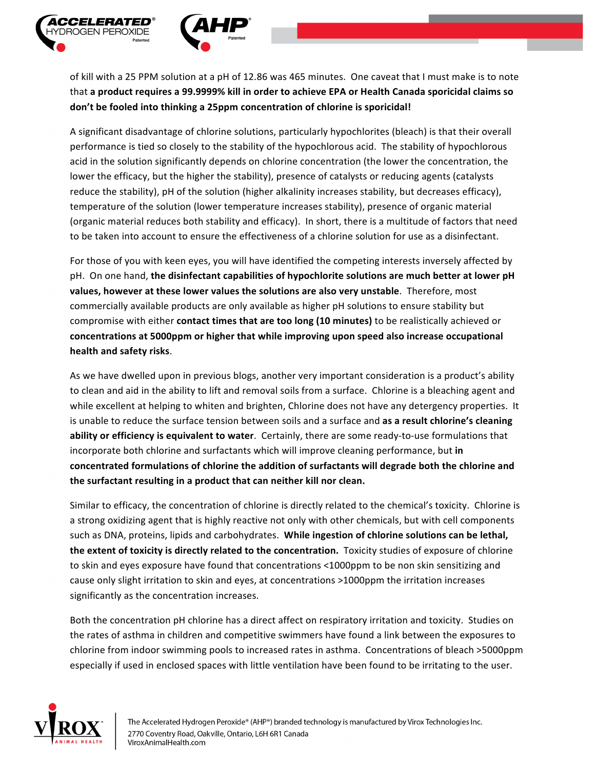

of kill with a 25 PPM solution at a pH of 12.86 was 465 minutes. One caveat that I must make is to note that a product requires a 99.9999% kill in order to achieve EPA or Health Canada sporicidal claims so don't be fooled into thinking a 25ppm concentration of chlorine is sporicidal!

A significant disadvantage of chlorine solutions, particularly hypochlorites (bleach) is that their overall performance is tied so closely to the stability of the hypochlorous acid. The stability of hypochlorous acid in the solution significantly depends on chlorine concentration (the lower the concentration, the lower the efficacy, but the higher the stability), presence of catalysts or reducing agents (catalysts reduce the stability), pH of the solution (higher alkalinity increases stability, but decreases efficacy), temperature of the solution (lower temperature increases stability), presence of organic material (organic material reduces both stability and efficacy). In short, there is a multitude of factors that need to be taken into account to ensure the effectiveness of a chlorine solution for use as a disinfectant.

For those of you with keen eyes, you will have identified the competing interests inversely affected by pH. On one hand, the disinfectant capabilities of hypochlorite solutions are much better at lower pH values, however at these lower values the solutions are also very unstable. Therefore, most commercially available products are only available as higher pH solutions to ensure stability but compromise with either **contact times that are too long (10 minutes)** to be realistically achieved or concentrations at 5000ppm or higher that while improving upon speed also increase occupational **health and safety risks**. 

As we have dwelled upon in previous blogs, another very important consideration is a product's ability to clean and aid in the ability to lift and removal soils from a surface. Chlorine is a bleaching agent and while excellent at helping to whiten and brighten, Chlorine does not have any detergency properties. It is unable to reduce the surface tension between soils and a surface and as a result chlorine's cleaning **ability or efficiency is equivalent to water**. Certainly, there are some ready-to-use formulations that incorporate both chlorine and surfactants which will improve cleaning performance, but in concentrated formulations of chlorine the addition of surfactants will degrade both the chlorine and the surfactant resulting in a product that can neither kill nor clean.

Similar to efficacy, the concentration of chlorine is directly related to the chemical's toxicity. Chlorine is a strong oxidizing agent that is highly reactive not only with other chemicals, but with cell components such as DNA, proteins, lipids and carbohydrates. While ingestion of chlorine solutions can be lethal, the extent of toxicity is directly related to the concentration. Toxicity studies of exposure of chlorine to skin and eyes exposure have found that concentrations <1000ppm to be non skin sensitizing and cause only slight irritation to skin and eyes, at concentrations >1000ppm the irritation increases significantly as the concentration increases.

Both the concentration pH chlorine has a direct affect on respiratory irritation and toxicity. Studies on the rates of asthma in children and competitive swimmers have found a link between the exposures to chlorine from indoor swimming pools to increased rates in asthma. Concentrations of bleach >5000ppm especially if used in enclosed spaces with little ventilation have been found to be irritating to the user.